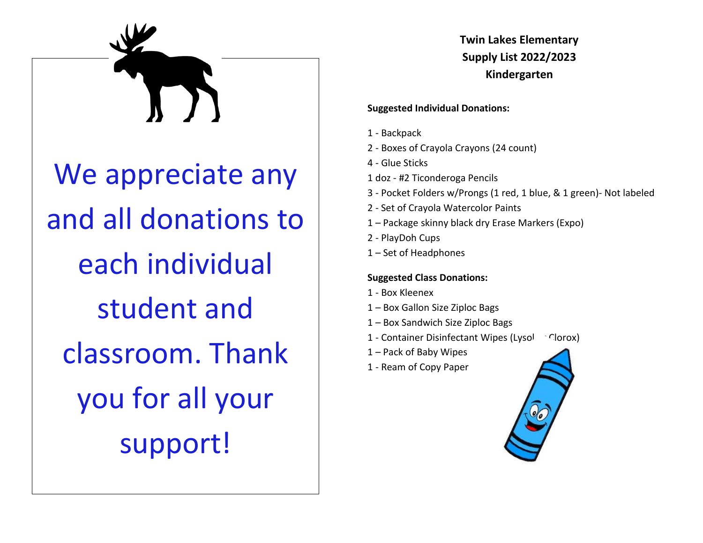

**Twin Lakes Elementary Supply List 2022/2023 Kindergarten**

#### **Suggested Individual Donations:**

- 1 Backpack
- 2 Boxes of Crayola Crayons (24 count)
- 4 Glue Sticks
- 1 doz #2 Ticonderoga Pencils
- 3 Pocket Folders w/Prongs (1 red, 1 blue, & 1 green)- Not labeled
- 2 Set of Crayola Watercolor Paints
- 1 Package skinny black dry Erase Markers (Expo)
- 2 PlayDoh Cups
- 1 Set of Headphones

#### **Suggested Class Donations:**

- 1 Box Kleenex
- 1 Box Gallon Size Ziploc Bags
- 1 Box Sandwich Size Ziploc Bags
- 1 Container Disinfectant Wipes (Lysol Clorox)
- 1 Pack of Baby Wipes
- 1 Ream of Copy Paper

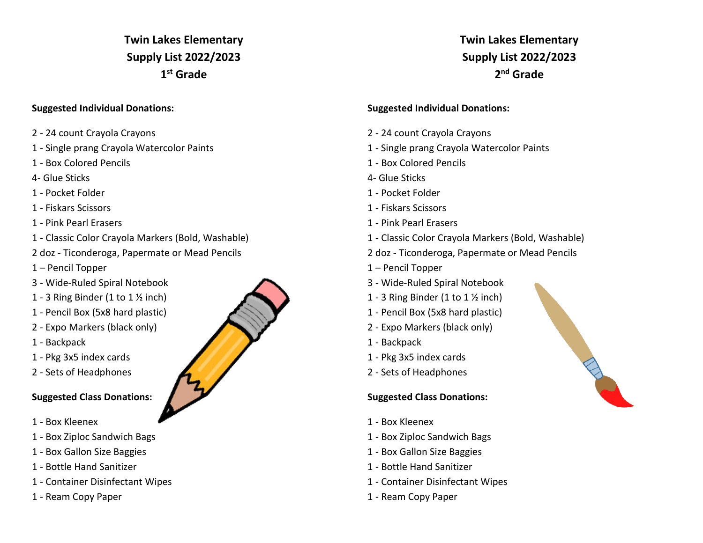## **Twin Lakes Elementary Supply List 2022/2023 1 st Grade**

#### **Suggested Individual Donations:**

- 2 24 count Crayola Crayons
- 1 Single prang Crayola Watercolor Paints
- 1 Box Colored Pencils
- 4- Glue Sticks
- 1 Pocket Folder
- 1 Fiskars Scissors
- 1 Pink Pearl Erasers
- 1 Classic Color Crayola Markers (Bold, Washable)
- 2 doz Ticonderoga, Papermate or Mead Pencils
- 1 Pencil Topper
- 3 Wide-Ruled Spiral Notebook
- 1 3 Ring Binder (1 to  $1\frac{1}{2}$  inch)
- 1 Pencil Box (5x8 hard plastic)
- 2 Expo Markers (black only)
- 1 Backpack
- 1 Pkg 3x5 index cards
- 2 Sets of Headphones

### **Suggested Class Donations:**

- 1 Box Kleenex
- 1 Box Ziploc Sandwich Bags
- 1 Box Gallon Size Baggies
- 1 Bottle Hand Sanitizer
- 1 Container Disinfectant Wipes
- 1 Ream Copy Paper



## **Twin Lakes Elementary Supply List 2022/2023 2 nd Grade**

### **Suggested Individual Donations:**

- 2 24 count Crayola Crayons
- 1 Single prang Crayola Watercolor Paints
- 1 Box Colored Pencils
- 4- Glue Sticks
- 1 Pocket Folder
- 1 Fiskars Scissors
- 1 Pink Pearl Erasers
- 1 Classic Color Crayola Markers (Bold, Washable)
- 2 doz Ticonderoga, Papermate or Mead Pencils
- 1 Pencil Topper
- 3 Wide-Ruled Spiral Notebook
- 1 3 Ring Binder (1 to  $1 \frac{1}{2}$  inch)
- 1 Pencil Box (5x8 hard plastic)
- 2 Expo Markers (black only)
- 1 Backpack
- 1 Pkg 3x5 index cards
- 2 Sets of Headphones

## **Suggested Class Donations:**

- 1 Box Kleenex
- 1 Box Ziploc Sandwich Bags
- 1 Box Gallon Size Baggies
- 1 Bottle Hand Sanitizer
- 1 Container Disinfectant Wipes
- 1 Ream Copy Paper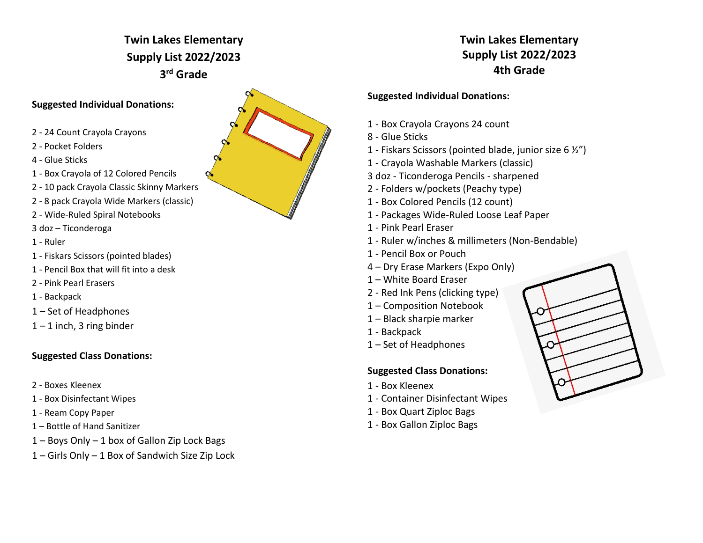# **Twin Lakes Elementary Supply List 2022/2023 3 rd Grade**

### **Suggested Individual Donations:**

- 2 24 Count Crayola Crayons
- 2 Pocket Folders
- 4 Glue Sticks
- 1 Box Crayola of 12 Colored Pencils
- 2 10 pack Crayola Classic Skinny Markers
- 2 8 pack Crayola Wide Markers (classic)
- 2 Wide-Ruled Spiral Notebooks
- 3 doz Ticonderoga
- 1 Ruler
- 1 Fiskars Scissors (pointed blades)
- 1 Pencil Box that will fit into a desk
- 2 Pink Pearl Erasers
- 1 Backpack
- 1 Set of Headphones
- $1 1$  inch, 3 ring binder

## **Suggested Class Donations:**

- 2 Boxes Kleenex
- 1 Box Disinfectant Wipes
- 1 Ream Copy Paper
- 1 Bottle of Hand Sanitizer
- 1 Boys Only 1 box of Gallon Zip Lock Bags
- 1 Girls Only 1 Box of Sandwich Size Zip Lock



## **Twin Lakes Elementary Supply List 2022/2023 4th Grade**

### **Suggested Individual Donations:**

- 1 Box Crayola Crayons 24 count
- 8 Glue Sticks
- 1 Fiskars Scissors (pointed blade, junior size 6 ½")
- 1 Crayola Washable Markers (classic)
- 3 doz Ticonderoga Pencils sharpened
- 2 Folders w/pockets (Peachy type)
- 1 Box Colored Pencils (12 count)
- 1 Packages Wide-Ruled Loose Leaf Paper
- 1 Pink Pearl Eraser
- 1 Ruler w/inches & millimeters (Non-Bendable)
- 1 Pencil Box or Pouch
- 4 Dry Erase Markers (Expo Only)
- 1 White Board Eraser
- 2 Red Ink Pens (clicking type)
- 1 Composition Notebook
- 1 Black sharpie marker
- 1 Backpack
- 1 Set of Headphones

## **Suggested Class Donations:**

- 1 Box Kleenex
- 1 Container Disinfectant Wipes
- 1 Box Quart Ziploc Bags
- 1 Box Gallon Ziploc Bags